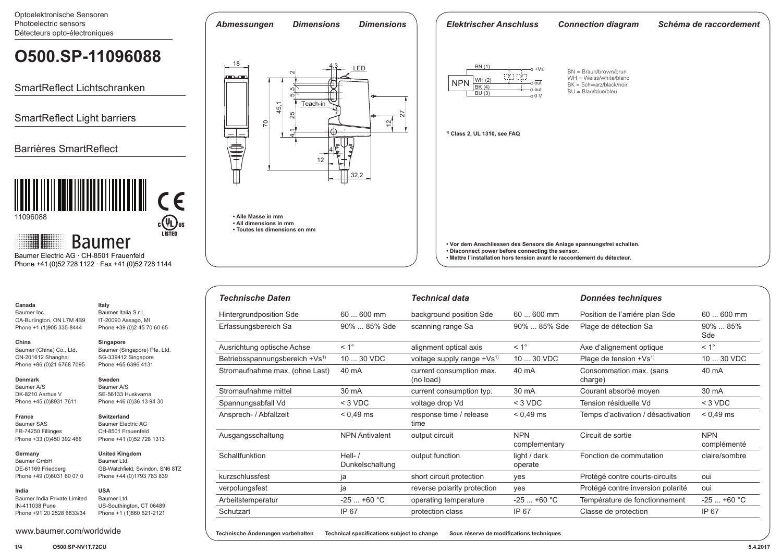Optoelektronische Sensoren Photoelectric sensors Détecteurs opto-électroniques

#### *Abmessungen Dimensions Dimensions Elektrischer Anschluss Connection diagram Schéma de raccordement* **O500.SP-11096088** $\frac{18}{\blacksquare}$   $\blacksquare$   $\blacksquare$   $\blacksquare$   $\blacksquare$   $\blacksquare$   $\blacksquare$   $\blacksquare$   $\blacksquare$   $\blacksquare$   $\blacksquare$   $\blacksquare$   $\blacksquare$   $\blacksquare$   $\blacksquare$   $\blacksquare$   $\blacksquare$   $\blacksquare$   $\blacksquare$   $\blacksquare$   $\blacksquare$   $\blacksquare$   $\blacksquare$   $\blacksquare$   $\blacksquare$   $\blacksquare$   $\blacksquare$   $\blacksquare$   $\blacksquare$   $\blacksquare$   $\blacks$ BN (1) 4,3  $-$ o +Vs  $BN = Braun/brown/brun$ 4,1 25 5 5 2  $\left(\frac{1}{2}\right)\left(\frac{1}{2}\right)$ men.<br>Elements de la partie de la partie de la partie de la partie de la partie de la partie de la partie de la part<br>De la partie de la partie de la partie de la partie de la partie de la partie de la partie de la partie de WH = Weiss/white/blanc WH $(2)$ RK $(4)$ **NPN** out BK = Schwarz/black/noir SmartReflect Lichtschranken  $\sim$ out BU = Blau/blue/bleu  $\frac{1}{2}$  BU (3) 0 V 45,1 Teach-in  $\frac{1}{2}$ 27 SmartReflect Light barriers 70  $\tilde{5}$ **1) Class 2, UL 1310, see FAQ** F Barrières SmartReflect 4 12 32,2  $\mathsf{CE}$ 11096088 **• Alle Masse in mm**  $c$ (U<sub>L</sub>) US **• All dimensions in mm • Toutes les dimensions en mm Baumer • Vor dem Anschliessen des Sensors die Anlage spannungsfrei schalten. • Disconnect power before connecting the sensor.**  Baumer Electric AG · CH-8501 Frauenfeld **• Mettre l`installation hors tension avant le raccordement du détecteur.** Phone +41 (0)52 728 1122 · Fax +41 (0)52 728 1144

| <b>Technische Daten</b>                    |                              | <b>Technical data</b>                 |                             | Données techniques                 |                           |
|--------------------------------------------|------------------------------|---------------------------------------|-----------------------------|------------------------------------|---------------------------|
| Hintergrundposition Sde                    | $60600$ mm                   | background position Sde               | $60600$ mm                  | Position de l'arriére plan Sde     | $60600$ mm                |
| Erfassungsbereich Sa                       | 90%  85% Sde                 | scanning range Sa                     | 90%  85% Sde                | Plage de détection Sa              | $90\%$ 85%<br>Sde         |
| Ausrichtung optische Achse                 | $< 1^{\circ}$                | alignment optical axis                | $< 1^{\circ}$               | Axe d'alignement optique           | $< 1^{\circ}$             |
| Betriebsspannungsbereich +Vs <sup>1)</sup> | 10  30 VDC                   | voltage supply range $+Vs^{(1)}$      | 10  30 VDC                  | Plage de tension $+Vs^{1}$         | 10  30 VDC                |
| Stromaufnahme max. (ohne Last)             | 40 mA                        | current consumption max.<br>(no load) | 40 mA                       | Consommation max. (sans<br>charge) | 40 mA                     |
| Stromaufnahme mittel                       | 30 mA                        | current consumption typ.              | 30 mA                       | Courant absorbé moyen              | 30 mA                     |
| Spannungsabfall Vd                         | $<$ 3 VDC                    | voltage drop Vd                       | $<$ 3 VDC                   | Tension résiduelle Vd              | $<$ 3 VDC                 |
| Ansprech- / Abfallzeit                     | $< 0.49$ ms                  | response time / release<br>time       | $< 0.49$ ms                 | Temps d'activation / désactivation | $< 0.49$ ms               |
| Ausgangsschaltung                          | <b>NPN Antivalent</b>        | output circuit                        | <b>NPN</b><br>complementary | Circuit de sortie                  | <b>NPN</b><br>complémenté |
| Schaltfunktion                             | Hell- $/$<br>Dunkelschaltung | output function                       | light / dark<br>operate     | Fonction de commutation            | claire/sombre             |
| kurzschlussfest                            | ja                           | short circuit protection              | yes                         | Protégé contre courts-circuits     | oui                       |
| verpolungsfest                             | ja                           | reverse polarity protection           | yes                         | Protégé contre inversion polarité  | oui                       |
| Arbeitstemperatur                          | $-25+60$ °C                  | operating temperature                 | $-25+60 °C$                 | Température de fonctionnement      | $-25+60 °C$               |
| Schutzart                                  | IP 67                        | protection class                      | IP 67                       | Classe de protection               | IP 67                     |

**Technische Änderungen vorbehalten Technical specifications subject to change Sous réserve de modifications techniques**

Baumer Inc. CA-Burlington, ON L7M 4B9 Phone +1 (1)905 335-8444

**Canada**

**China**

#### Baumer (China) Co., Ltd. CN-201612 Shanghai Phone +86 (0)21 6768 7095 **Singapore** Baumer (Singapore) Pte. Ltd.

SG-339412 Singapore Phone +65 6396 4131

> **Sweden** Baumer A/S SE-56133 Huskvarna Phone +46 (0)36 13 94 30

**Switzerland** Baumer Electric AG CH-8501 Frauenfeld Phone +41 (0)52 728 1313

**Italy** Baumer Italia S.r.l. IT-20090 Assago, MI Phone +39 (0)2 45 70 60 65

**Denmark** Baumer A/S DK-8210 Aarhus V Phone +45 (0)8931 7611

**France** Baumer SAS FR-74250 Fillinges Phone +33 (0)450 392 466

**Germany**  Baumer GmbH DE-61169 Friedberg Phone +49 (0)6031 60 07 0 **United Kingdom**

Baumer Ltd. GB-Watchfield, Swindon, SN6 8TZ Phone +44 (0)1793 783 839 **USA**

**India** Baumer India Private Limited IN-411038 Pune Phone +91 20 2528 6833/34 Baumer Ltd. US-Southington, CT 06489 Phone +1 (1)860 621-2121

www.baumer.com/worldwide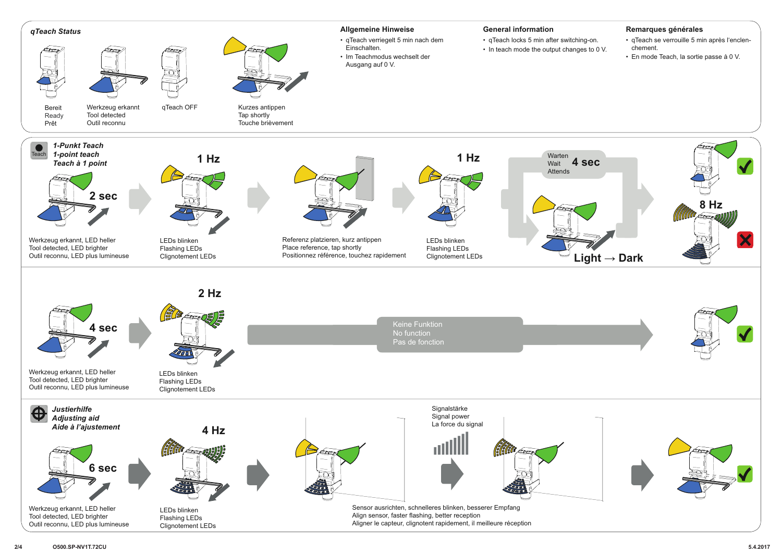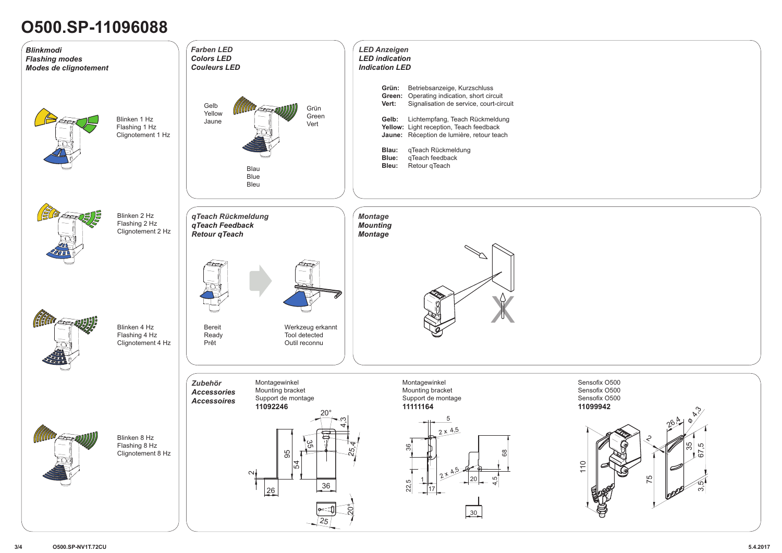# **O500.SP-11096088**